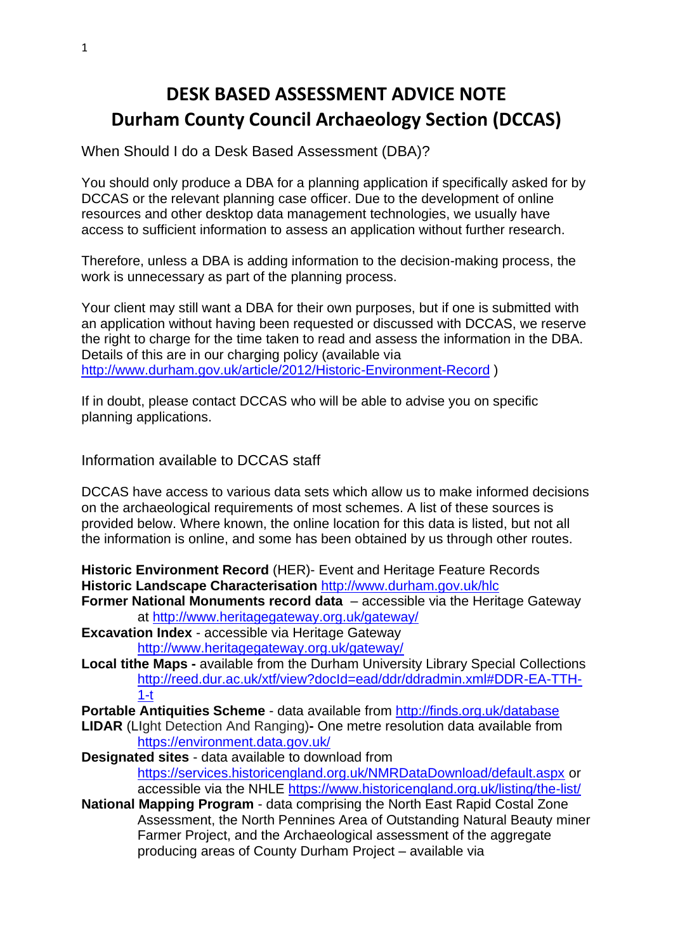# **DESK BASED ASSESSMENT ADVICE NOTE Durham County Council Archaeology Section (DCCAS)**

When Should I do a Desk Based Assessment (DBA)?

You should only produce a DBA for a planning application if specifically asked for by DCCAS or the relevant planning case officer. Due to the development of online resources and other desktop data management technologies, we usually have access to sufficient information to assess an application without further research.

Therefore, unless a DBA is adding information to the decision-making process, the work is unnecessary as part of the planning process.

Your client may still want a DBA for their own purposes, but if one is submitted with an application without having been requested or discussed with DCCAS, we reserve the right to charge for the time taken to read and assess the information in the DBA. Details of this are in our charging policy (available via <http://www.durham.gov.uk/article/2012/Historic-Environment-Record> )

If in doubt, please contact DCCAS who will be able to advise you on specific planning applications.

Information available to DCCAS staff

DCCAS have access to various data sets which allow us to make informed decisions on the archaeological requirements of most schemes. A list of these sources is provided below. Where known, the online location for this data is listed, but not all the information is online, and some has been obtained by us through other routes.

**Historic Environment Record** (HER)- Event and Heritage Feature Records **Historic Landscape Characterisation** <http://www.durham.gov.uk/hlc>

- **Former National Monuments record data**  accessible via the Heritage Gateway at<http://www.heritagegateway.org.uk/gateway/>
- **Excavation Index** accessible via Heritage Gateway <http://www.heritagegateway.org.uk/gateway/>
- **Local tithe Maps -** available from the Durham University Library Special Collections [http://reed.dur.ac.uk/xtf/view?docId=ead/ddr/ddradmin.xml#DDR-EA-TTH-](http://reed.dur.ac.uk/xtf/view?docId=ead/ddr/ddradmin.xml#DDR-EA-TTH-1-t)[1-t](http://reed.dur.ac.uk/xtf/view?docId=ead/ddr/ddradmin.xml#DDR-EA-TTH-1-t)

**Portable Antiquities Scheme** - data available from<http://finds.org.uk/database>

- **LIDAR** (LIght Detection And Ranging)**-** One metre resolution data available from <https://environment.data.gov.uk/>
- **Designated sites** data available to download from <https://services.historicengland.org.uk/NMRDataDownload/default.aspx> or accessible via the NHLE<https://www.historicengland.org.uk/listing/the-list/>
- **National Mapping Program** data comprising the North East Rapid Costal Zone Assessment, the North Pennines Area of Outstanding Natural Beauty miner Farmer Project, and the Archaeological assessment of the aggregate producing areas of County Durham Project – available via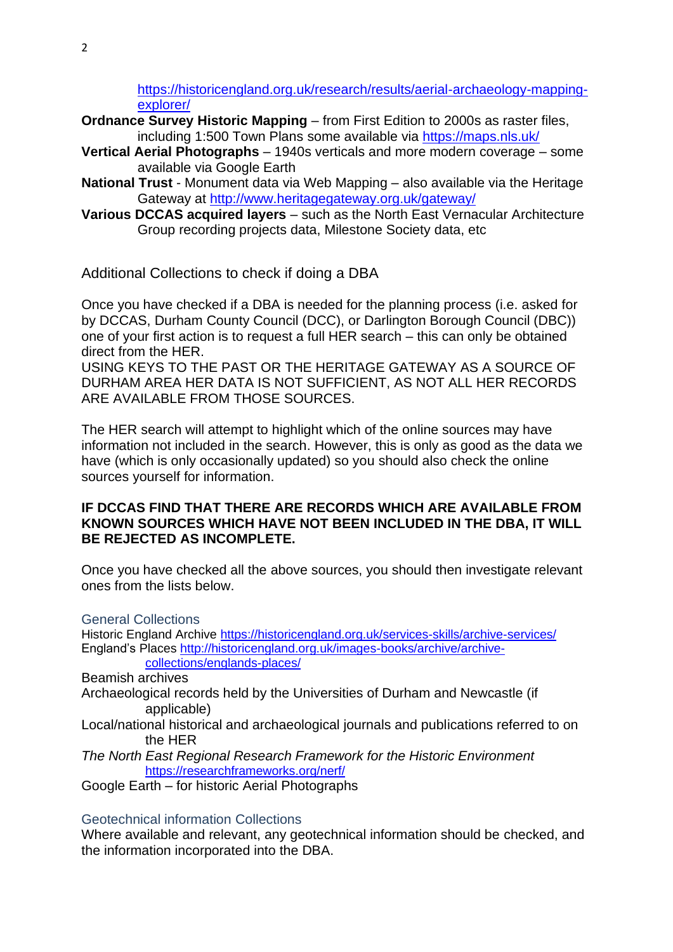[https://historicengland.org.uk/research/results/aerial-archaeology-mapping](https://historicengland.org.uk/research/results/aerial-archaeology-mapping-explorer/)[explorer/](https://historicengland.org.uk/research/results/aerial-archaeology-mapping-explorer/)

- **Ordnance Survey Historic Mapping** from First Edition to 2000s as raster files, including 1:500 Town Plans some available via<https://maps.nls.uk/>
- **Vertical Aerial Photographs** 1940s verticals and more modern coverage some available via Google Earth
- **National Trust** Monument data via Web Mapping also available via the Heritage Gateway at<http://www.heritagegateway.org.uk/gateway/>
- **Various DCCAS acquired layers** such as the North East Vernacular Architecture Group recording projects data, Milestone Society data, etc

Additional Collections to check if doing a DBA

Once you have checked if a DBA is needed for the planning process (i.e. asked for by DCCAS, Durham County Council (DCC), or Darlington Borough Council (DBC)) one of your first action is to request a full HER search – this can only be obtained direct from the HER.

USING KEYS TO THE PAST OR THE HERITAGE GATEWAY AS A SOURCE OF DURHAM AREA HER DATA IS NOT SUFFICIENT, AS NOT ALL HER RECORDS ARE AVAILABLE FROM THOSE SOURCES.

The HER search will attempt to highlight which of the online sources may have information not included in the search. However, this is only as good as the data we have (which is only occasionally updated) so you should also check the online sources yourself for information.

### **IF DCCAS FIND THAT THERE ARE RECORDS WHICH ARE AVAILABLE FROM KNOWN SOURCES WHICH HAVE NOT BEEN INCLUDED IN THE DBA, IT WILL BE REJECTED AS INCOMPLETE.**

Once you have checked all the above sources, you should then investigate relevant ones from the lists below.

General Collections

Historic England Archive<https://historicengland.org.uk/services-skills/archive-services/> England's Places [http://historicengland.org.uk/images-books/archive/archive](http://historicengland.org.uk/images-books/archive/archive-collections/englands-places/)[collections/englands-places/](http://historicengland.org.uk/images-books/archive/archive-collections/englands-places/)

Beamish archives

- Archaeological records held by the Universities of Durham and Newcastle (if applicable)
- Local/national historical and archaeological journals and publications referred to on the HER

*The North East Regional Research Framework for the Historic Environment* <https://researchframeworks.org/nerf/>

Google Earth – for historic Aerial Photographs

### Geotechnical information Collections

Where available and relevant, any geotechnical information should be checked, and the information incorporated into the DBA.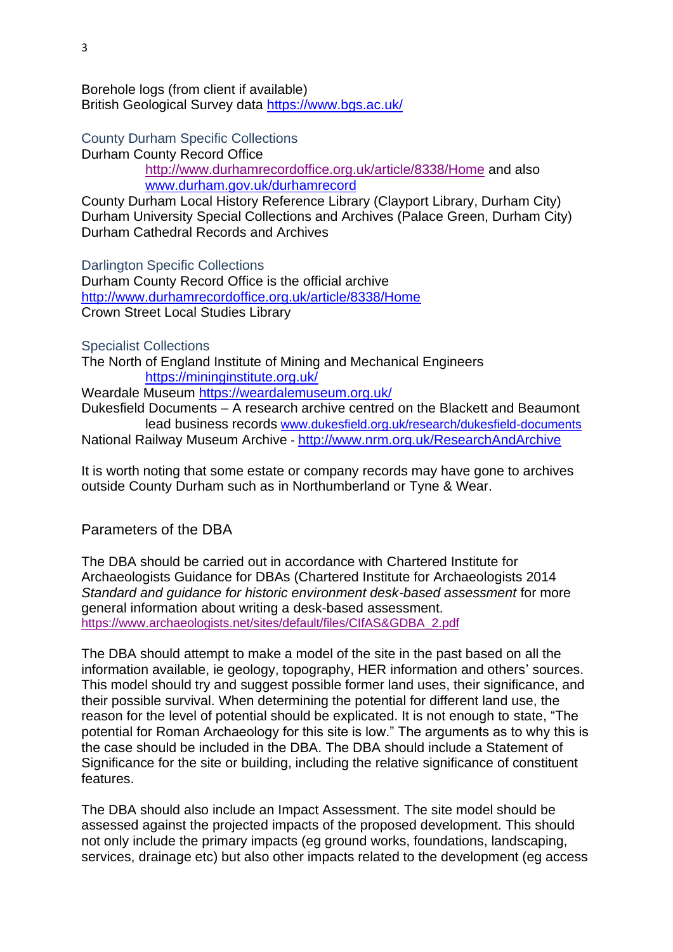Borehole logs (from client if available) British Geological Survey data<https://www.bgs.ac.uk/>

County Durham Specific Collections Durham County Record Office

<http://www.durhamrecordoffice.org.uk/article/8338/Home> and also [www.durham.gov.uk/durhamrecord](http://www.durham.gov.uk/durhamrecord)

County Durham Local History Reference Library (Clayport Library, Durham City) Durham University Special Collections and Archives (Palace Green, Durham City) Durham Cathedral Records and Archives

Darlington Specific Collections Durham County Record Office is the official archive <http://www.durhamrecordoffice.org.uk/article/8338/Home>

Crown Street Local Studies Library

Specialist Collections

The North of England Institute of Mining and Mechanical Engineers <https://mininginstitute.org.uk/>

Weardale Museum <https://weardalemuseum.org.uk/>

Dukesfield Documents – A research archive centred on the Blackett and Beaumont lead business records [www.dukesfield.org.uk/research/dukesfield-documents](http://www.dukesfield.org.uk/research/dukesfield-documents) National Railway Museum Archive - <http://www.nrm.org.uk/ResearchAndArchive>

It is worth noting that some estate or company records may have gone to archives outside County Durham such as in Northumberland or Tyne & Wear.

## Parameters of the DBA

The DBA should be carried out in accordance with Chartered Institute for Archaeologists Guidance for DBAs (Chartered Institute for Archaeologists 2014 *Standard and guidance for historic environment desk-based assessment* for more general information about writing a desk-based assessment. [https://www.archaeologists.net/sites/default/files/CIfAS&GDBA\\_2.pdf](https://www.archaeologists.net/sites/default/files/CIfAS&GDBA_2.pdf)

The DBA should attempt to make a model of the site in the past based on all the information available, ie geology, topography, HER information and others' sources. This model should try and suggest possible former land uses, their significance, and their possible survival. When determining the potential for different land use, the reason for the level of potential should be explicated. It is not enough to state, "The potential for Roman Archaeology for this site is low." The arguments as to why this is the case should be included in the DBA. The DBA should include a Statement of Significance for the site or building, including the relative significance of constituent features.

The DBA should also include an Impact Assessment. The site model should be assessed against the projected impacts of the proposed development. This should not only include the primary impacts (eg ground works, foundations, landscaping, services, drainage etc) but also other impacts related to the development (eg access